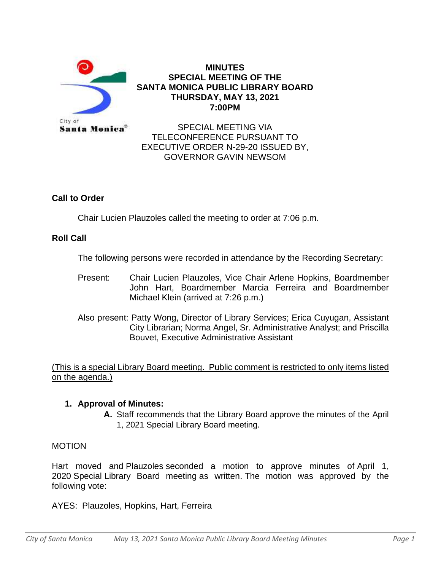

#### **MINUTES SPECIAL MEETING OF THE SANTA MONICA PUBLIC LIBRARY BOARD THURSDAY, MAY 13, 2021 7:00PM**

SPECIAL MEETING VIA TELECONFERENCE PURSUANT TO EXECUTIVE ORDER N-29-20 ISSUED BY, GOVERNOR GAVIN NEWSOM

# **Call to Order**

Chair Lucien Plauzoles called the meeting to order at 7:06 p.m.

# **Roll Call**

The following persons were recorded in attendance by the Recording Secretary:

- Present: Chair Lucien Plauzoles, Vice Chair Arlene Hopkins, Boardmember John Hart, Boardmember Marcia Ferreira and Boardmember Michael Klein (arrived at 7:26 p.m.)
- Also present: Patty Wong, Director of Library Services; Erica Cuyugan, Assistant City Librarian; Norma Angel, Sr. Administrative Analyst; and Priscilla Bouvet, Executive Administrative Assistant

(This is a special Library Board meeting. Public comment is restricted to only items listed on the agenda.)

### **1. Approval of Minutes:**

**A.** Staff recommends that the Library Board approve the minutes of the April 1, 2021 Special Library Board meeting.

### MOTION

Hart moved and Plauzoles seconded a motion to approve minutes of April 1, 2020 Special Library Board meeting as written. The motion was approved by the following vote:

AYES: Plauzoles, Hopkins, Hart, Ferreira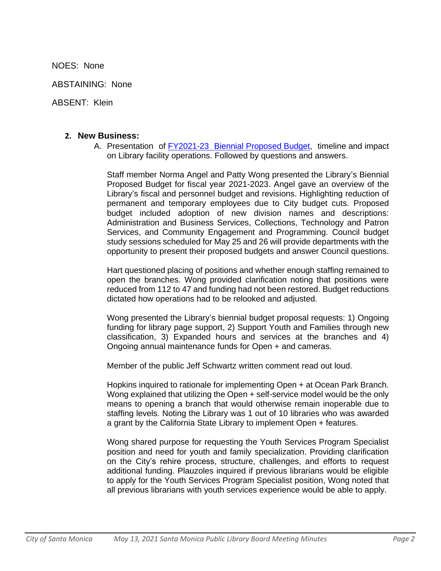NOES: None

ABSTAINING: None

ABSENT: Klein

#### **2. New Business:**

A. Presentation of [FY2021-23](https://finance.smgov.net/Media/Default/annual-reports/FYE2022/FY_2021_2023_Proposed_Biennial_Budget_Digital_Final.pdf) Biennial Proposed Budget, timeline and impact on Library facility operations. Followed by questions and answers.

Staff member Norma Angel and Patty Wong presented the Library's Biennial Proposed Budget for fiscal year 2021-2023. Angel gave an overview of the Library's fiscal and personnel budget and revisions. Highlighting reduction of permanent and temporary employees due to City budget cuts. Proposed budget included adoption of new division names and descriptions: Administration and Business Services, Collections, Technology and Patron Services, and Community Engagement and Programming. Council budget study sessions scheduled for May 25 and 26 will provide departments with the opportunity to present their proposed budgets and answer Council questions.

Hart questioned placing of positions and whether enough staffing remained to open the branches. Wong provided clarification noting that positions were reduced from 112 to 47 and funding had not been restored. Budget reductions dictated how operations had to be relooked and adjusted.

Wong presented the Library's biennial budget proposal requests: 1) Ongoing funding for library page support, 2) Support Youth and Families through new classification, 3) Expanded hours and services at the branches and 4) Ongoing annual maintenance funds for Open + and cameras.

Member of the public Jeff Schwartz written comment read out loud.

Hopkins inquired to rationale for implementing Open + at Ocean Park Branch. Wong explained that utilizing the Open + self-service model would be the only means to opening a branch that would otherwise remain inoperable due to staffing levels. Noting the Library was 1 out of 10 libraries who was awarded a grant by the California State Library to implement Open + features.

Wong shared purpose for requesting the Youth Services Program Specialist position and need for youth and family specialization. Providing clarification on the City's rehire process, structure, challenges, and efforts to request additional funding. Plauzoles inquired if previous librarians would be eligible to apply for the Youth Services Program Specialist position, Wong noted that all previous librarians with youth services experience would be able to apply.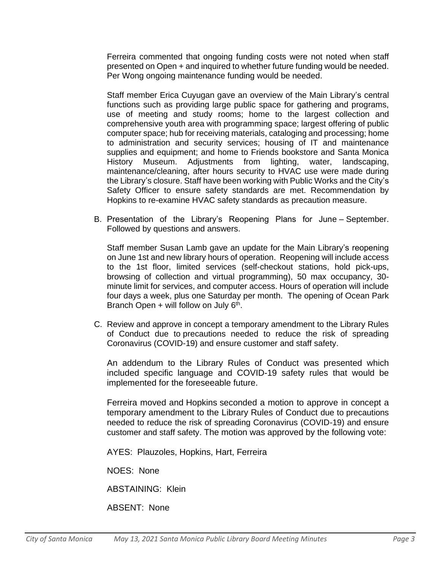Ferreira commented that ongoing funding costs were not noted when staff presented on Open + and inquired to whether future funding would be needed. Per Wong ongoing maintenance funding would be needed.

Staff member Erica Cuyugan gave an overview of the Main Library's central functions such as providing large public space for gathering and programs, use of meeting and study rooms; home to the largest collection and comprehensive youth area with programming space; largest offering of public computer space; hub for receiving materials, cataloging and processing; home to administration and security services; housing of IT and maintenance supplies and equipment; and home to Friends bookstore and Santa Monica History Museum. Adjustments from lighting, water, landscaping, maintenance/cleaning, after hours security to HVAC use were made during the Library's closure. Staff have been working with Public Works and the City's Safety Officer to ensure safety standards are met. Recommendation by Hopkins to re-examine HVAC safety standards as precaution measure.

B. Presentation of the Library's Reopening Plans for June – September. Followed by questions and answers.

Staff member Susan Lamb gave an update for the Main Library's reopening on June 1st and new library hours of operation. Reopening will include access to the 1st floor, limited services (self-checkout stations, hold pick-ups, browsing of collection and virtual programming), 50 max occupancy, 30 minute limit for services, and computer access. Hours of operation will include four days a week, plus one Saturday per month. The opening of Ocean Park Branch Open + will follow on July 6<sup>th</sup>.

C. Review and approve in concept a temporary amendment to the Library Rules of Conduct due to precautions needed to reduce the risk of spreading Coronavirus (COVID-19) and ensure customer and staff safety.

An addendum to the Library Rules of Conduct was presented which included specific language and COVID-19 safety rules that would be implemented for the foreseeable future.

Ferreira moved and Hopkins seconded a motion to approve in concept a temporary amendment to the Library Rules of Conduct due to precautions needed to reduce the risk of spreading Coronavirus (COVID-19) and ensure customer and staff safety. The motion was approved by the following vote:

AYES: Plauzoles, Hopkins, Hart, Ferreira

NOES: None

ABSTAINING: Klein

ABSENT: None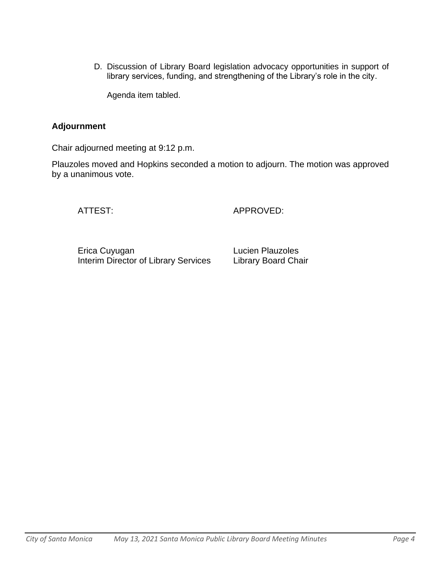D. Discussion of Library Board legislation advocacy opportunities in support of library services, funding, and strengthening of the Library's role in the city.

Agenda item tabled.

## **Adjournment**

Chair adjourned meeting at 9:12 p.m.

Plauzoles moved and Hopkins seconded a motion to adjourn. The motion was approved by a unanimous vote.

ATTEST: APPROVED:

Erica Cuyugan **Lucien Plauzoles** Interim Director of Library Services Library Board Chair